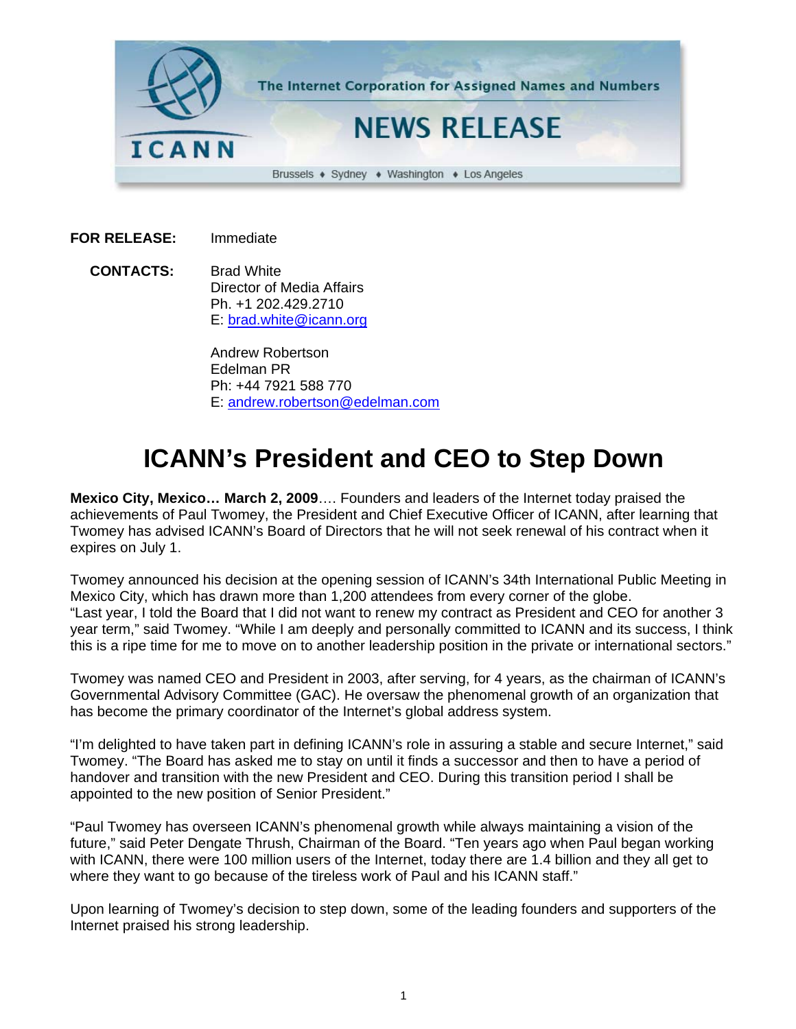

**FOR RELEASE:** Immediate

 **CONTACTS:** Brad White Director of Media Affairs Ph. +1 202.429.2710 E: brad.white@icann.org

> Andrew Robertson Edelman PR Ph: +44 7921 588 770 E: andrew.robertson@edelman.com

## **ICANN's President and CEO to Step Down**

**Mexico City, Mexico… March 2, 2009**…. Founders and leaders of the Internet today praised the achievements of Paul Twomey, the President and Chief Executive Officer of ICANN, after learning that Twomey has advised ICANN's Board of Directors that he will not seek renewal of his contract when it expires on July 1.

Twomey announced his decision at the opening session of ICANN's 34th International Public Meeting in Mexico City, which has drawn more than 1,200 attendees from every corner of the globe. "Last year, I told the Board that I did not want to renew my contract as President and CEO for another 3 year term," said Twomey. "While I am deeply and personally committed to ICANN and its success, I think this is a ripe time for me to move on to another leadership position in the private or international sectors."

Twomey was named CEO and President in 2003, after serving, for 4 years, as the chairman of ICANN's Governmental Advisory Committee (GAC). He oversaw the phenomenal growth of an organization that has become the primary coordinator of the Internet's global address system.

"I'm delighted to have taken part in defining ICANN's role in assuring a stable and secure Internet," said Twomey. "The Board has asked me to stay on until it finds a successor and then to have a period of handover and transition with the new President and CEO. During this transition period I shall be appointed to the new position of Senior President."

"Paul Twomey has overseen ICANN's phenomenal growth while always maintaining a vision of the future," said Peter Dengate Thrush, Chairman of the Board. "Ten years ago when Paul began working with ICANN, there were 100 million users of the Internet, today there are 1.4 billion and they all get to where they want to go because of the tireless work of Paul and his ICANN staff."

Upon learning of Twomey's decision to step down, some of the leading founders and supporters of the Internet praised his strong leadership.